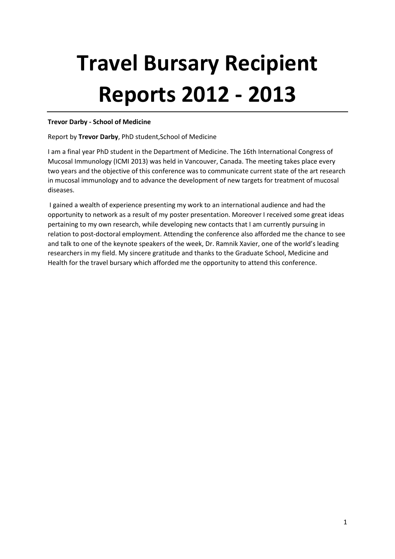# **Travel Bursary Recipient Reports 2012 - 2013**

# **Trevor Darby - School of Medicine**

## Report by **Trevor Darby**, PhD student,School of Medicine

I am a final year PhD student in the Department of Medicine. The 16th International Congress of Mucosal Immunology (ICMI 2013) was held in Vancouver, Canada. The meeting takes place every two years and the objective of this conference was to communicate current state of the art research in mucosal immunology and to advance the development of new targets for treatment of mucosal diseases.

I gained a wealth of experience presenting my work to an international audience and had the opportunity to network as a result of my poster presentation. Moreover I received some great ideas pertaining to my own research, while developing new contacts that I am currently pursuing in relation to post-doctoral employment. Attending the conference also afforded me the chance to see and talk to one of the keynote speakers of the week, Dr. Ramnik Xavier, one of the world's leading researchers in my field. My sincere gratitude and thanks to the Graduate School, Medicine and Health for the travel bursary which afforded me the opportunity to attend this conference.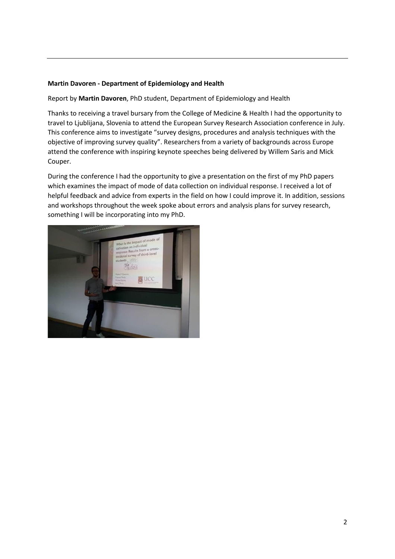# **Martin Davoren - Department of Epidemiology and Health**

Report by **Martin Davoren**, PhD student, Department of Epidemiology and Health

Thanks to receiving a travel bursary from the College of Medicine & Health I had the opportunity to travel to Ljublijana, Slovenia to attend the European Survey Research Association conference in July. This conference aims to investigate "survey designs, procedures and analysis techniques with the objective of improving survey quality". Researchers from a variety of backgrounds across Europe attend the conference with inspiring keynote speeches being delivered by Willem Saris and Mick Couper.

During the conference I had the opportunity to give a presentation on the first of my PhD papers which examines the impact of mode of data collection on individual response. I received a lot of helpful feedback and advice from experts in the field on how I could improve it. In addition, sessions and workshops throughout the week spoke about errors and analysis plans for survey research, something I will be incorporating into my PhD.

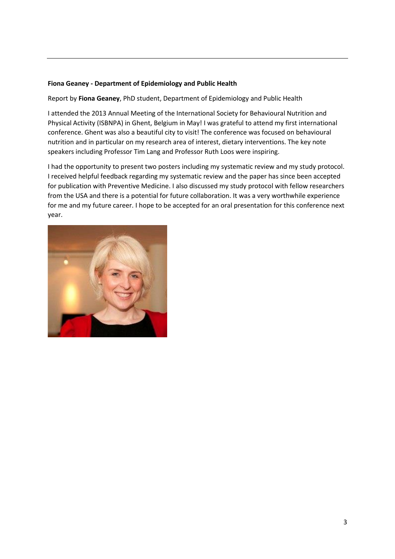# **Fiona Geaney - Department of Epidemiology and Public Health**

Report by **Fiona Geaney**, PhD student, Department of Epidemiology and Public Health

I attended the 2013 Annual Meeting of the International Society for Behavioural Nutrition and Physical Activity (ISBNPA) in Ghent, Belgium in May! I was grateful to attend my first international conference. Ghent was also a beautiful city to visit! The conference was focused on behavioural nutrition and in particular on my research area of interest, dietary interventions. The key note speakers including Professor Tim Lang and Professor Ruth Loos were inspiring.

I had the opportunity to present two posters including my systematic review and my study protocol. I received helpful feedback regarding my systematic review and the paper has since been accepted for publication with Preventive Medicine. I also discussed my study protocol with fellow researchers from the USA and there is a potential for future collaboration. It was a very worthwhile experience for me and my future career. I hope to be accepted for an oral presentation for this conference next year.

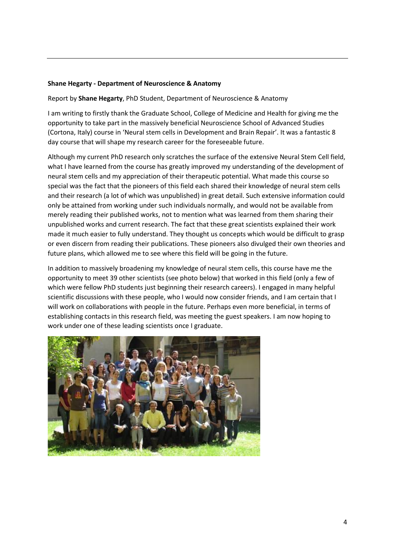#### **Shane Hegarty - Department of Neuroscience & Anatomy**

Report by **Shane Hegarty**, PhD Student, Department of Neuroscience & Anatomy

I am writing to firstly thank the Graduate School, College of Medicine and Health for giving me the opportunity to take part in the massively beneficial Neuroscience School of Advanced Studies (Cortona, Italy) course in 'Neural stem cells in Development and Brain Repair'. It was a fantastic 8 day course that will shape my research career for the foreseeable future.

Although my current PhD research only scratches the surface of the extensive Neural Stem Cell field, what I have learned from the course has greatly improved my understanding of the development of neural stem cells and my appreciation of their therapeutic potential. What made this course so special was the fact that the pioneers of this field each shared their knowledge of neural stem cells and their research (a lot of which was unpublished) in great detail. Such extensive information could only be attained from working under such individuals normally, and would not be available from merely reading their published works, not to mention what was learned from them sharing their unpublished works and current research. The fact that these great scientists explained their work made it much easier to fully understand. They thought us concepts which would be difficult to grasp or even discern from reading their publications. These pioneers also divulged their own theories and future plans, which allowed me to see where this field will be going in the future.

In addition to massively broadening my knowledge of neural stem cells, this course have me the opportunity to meet 39 other scientists (see photo below) that worked in this field (only a few of which were fellow PhD students just beginning their research careers). I engaged in many helpful scientific discussions with these people, who I would now consider friends, and I am certain that I will work on collaborations with people in the future. Perhaps even more beneficial, in terms of establishing contacts in this research field, was meeting the guest speakers. I am now hoping to work under one of these leading scientists once I graduate.

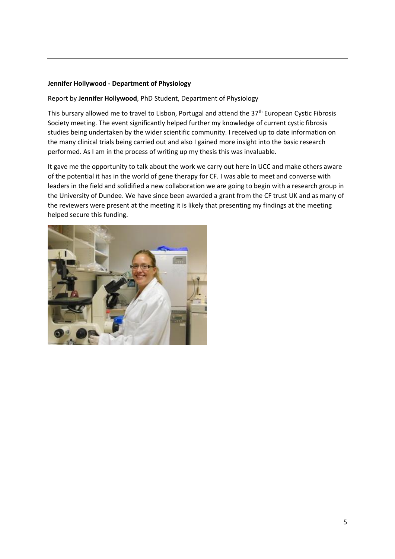# **Jennifer Hollywood - Department of Physiology**

Report by **Jennifer Hollywood**, PhD Student, Department of Physiology

This bursary allowed me to travel to Lisbon, Portugal and attend the  $37<sup>th</sup>$  European Cystic Fibrosis Society meeting. The event significantly helped further my knowledge of current cystic fibrosis studies being undertaken by the wider scientific community. I received up to date information on the many clinical trials being carried out and also I gained more insight into the basic research performed. As I am in the process of writing up my thesis this was invaluable.

It gave me the opportunity to talk about the work we carry out here in UCC and make others aware of the potential it has in the world of gene therapy for CF. I was able to meet and converse with leaders in the field and solidified a new collaboration we are going to begin with a research group in the University of Dundee. We have since been awarded a grant from the CF trust UK and as many of the reviewers were present at the meeting it is likely that presenting my findings at the meeting helped secure this funding.

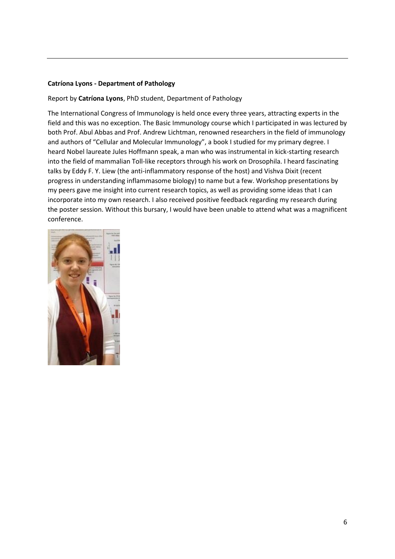# **Catríona Lyons - Department of Pathology**

# Report by **Catríona Lyons**, PhD student, Department of Pathology

The International Congress of Immunology is held once every three years, attracting experts in the field and this was no exception. The Basic Immunology course which I participated in was lectured by both Prof. Abul Abbas and Prof. Andrew Lichtman, renowned researchers in the field of immunology and authors of "Cellular and Molecular Immunology", a book I studied for my primary degree. I heard Nobel laureate Jules Hoffmann speak, a man who was instrumental in kick-starting research into the field of mammalian Toll-like receptors through his work on Drosophila. I heard fascinating talks by Eddy F. Y. Liew (the anti-inflammatory response of the host) and Vishva Dixit (recent progress in understanding inflammasome biology) to name but a few. Workshop presentations by my peers gave me insight into current research topics, as well as providing some ideas that I can incorporate into my own research. I also received positive feedback regarding my research during the poster session. Without this bursary, I would have been unable to attend what was a magnificent conference.

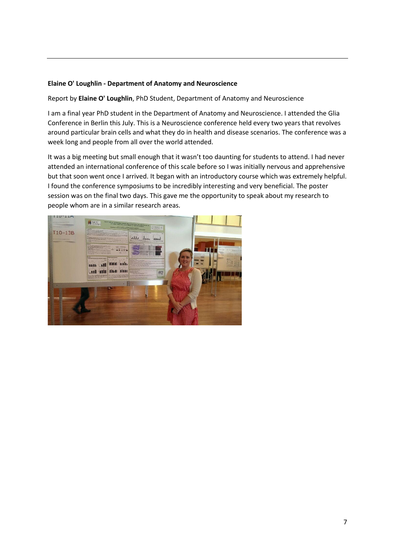# **Elaine O' Loughlin - Department of Anatomy and Neuroscience**

Report by **Elaine O' Loughlin**, PhD Student, Department of Anatomy and Neuroscience

I am a final year PhD student in the Department of Anatomy and Neuroscience. I attended the Glia Conference in Berlin this July. This is a Neuroscience conference held every two years that revolves around particular brain cells and what they do in health and disease scenarios. The conference was a week long and people from all over the world attended.

It was a big meeting but small enough that it wasn't too daunting for students to attend. I had never attended an international conference of this scale before so I was initially nervous and apprehensive but that soon went once I arrived. It began with an introductory course which was extremely helpful. I found the conference symposiums to be incredibly interesting and very beneficial. The poster session was on the final two days. This gave me the opportunity to speak about my research to people whom are in a similar research areas.

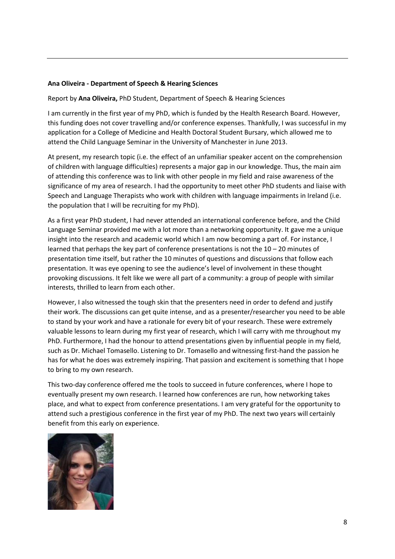#### **Ana Oliveira - Department of Speech & Hearing Sciences**

Report by **Ana Oliveira,** PhD Student, Department of Speech & Hearing Sciences

I am currently in the first year of my PhD, which is funded by the Health Research Board. However, this funding does not cover travelling and/or conference expenses. Thankfully, I was successful in my application for a College of Medicine and Health Doctoral Student Bursary, which allowed me to attend the Child Language Seminar in the University of Manchester in June 2013.

At present, my research topic (i.e. the effect of an unfamiliar speaker accent on the comprehension of children with language difficulties) represents a major gap in our knowledge. Thus, the main aim of attending this conference was to link with other people in my field and raise awareness of the significance of my area of research. I had the opportunity to meet other PhD students and liaise with Speech and Language Therapists who work with children with language impairments in Ireland (i.e. the population that I will be recruiting for my PhD).

As a first year PhD student, I had never attended an international conference before, and the Child Language Seminar provided me with a lot more than a networking opportunity. It gave me a unique insight into the research and academic world which I am now becoming a part of. For instance, I learned that perhaps the key part of conference presentations is not the  $10 - 20$  minutes of presentation time itself, but rather the 10 minutes of questions and discussions that follow each presentation. It was eye opening to see the audience's level of involvement in these thought provoking discussions. It felt like we were all part of a community: a group of people with similar interests, thrilled to learn from each other.

However, I also witnessed the tough skin that the presenters need in order to defend and justify their work. The discussions can get quite intense, and as a presenter/researcher you need to be able to stand by your work and have a rationale for every bit of your research. These were extremely valuable lessons to learn during my first year of research, which I will carry with me throughout my PhD. Furthermore, I had the honour to attend presentations given by influential people in my field, such as Dr. Michael Tomasello. Listening to Dr. Tomasello and witnessing first-hand the passion he has for what he does was extremely inspiring. That passion and excitement is something that I hope to bring to my own research.

This two-day conference offered me the tools to succeed in future conferences, where I hope to eventually present my own research. I learned how conferences are run, how networking takes place, and what to expect from conference presentations. I am very grateful for the opportunity to attend such a prestigious conference in the first year of my PhD. The next two years will certainly benefit from this early on experience.

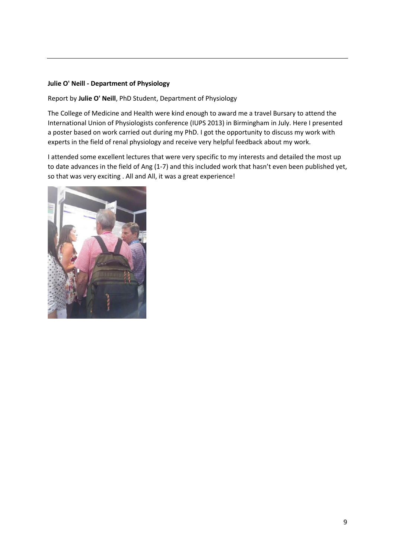# **Julie O' Neill - Department of Physiology**

Report by **Julie O' Neill**, PhD Student, Department of Physiology

The College of Medicine and Health were kind enough to award me a travel Bursary to attend the International Union of Physiologists conference (IUPS 2013) in Birmingham in July. Here I presented a poster based on work carried out during my PhD. I got the opportunity to discuss my work with experts in the field of renal physiology and receive very helpful feedback about my work.

I attended some excellent lectures that were very specific to my interests and detailed the most up to date advances in the field of Ang (1-7) and this included work that hasn't even been published yet, so that was very exciting . All and All, it was a great experience!

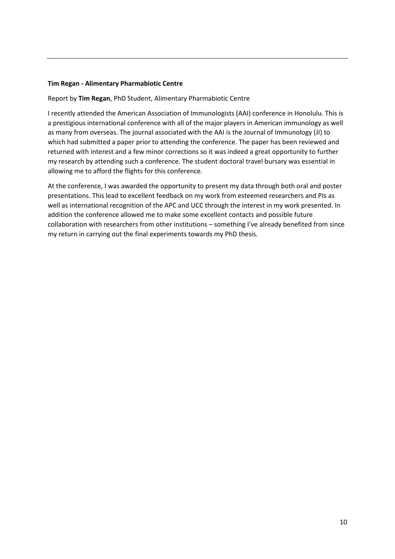## **Tim Regan - Alimentary Pharmabiotic Centre**

Report by **Tim Regan**, PhD Student, Alimentary Pharmabiotic Centre

I recently attended the American Association of Immunologists (AAI) conference in Honolulu. This is a prestigious international conference with all of the major players in American immunology as well as many from overseas. The journal associated with the AAI is the Journal of Immunology (JI) to which had submitted a paper prior to attending the conference. The paper has been reviewed and returned with interest and a few minor corrections so it was indeed a great opportunity to further my research by attending such a conference. The student doctoral travel bursary was essential in allowing me to afford the flights for this conference.

At the conference, I was awarded the opportunity to present my data through both oral and poster presentations. This lead to excellent feedback on my work from esteemed researchers and PIs as well as international recognition of the APC and UCC through the interest in my work presented. In addition the conference allowed me to make some excellent contacts and possible future collaboration with researchers from other institutions – something I've already benefited from since my return in carrying out the final experiments towards my PhD thesis.